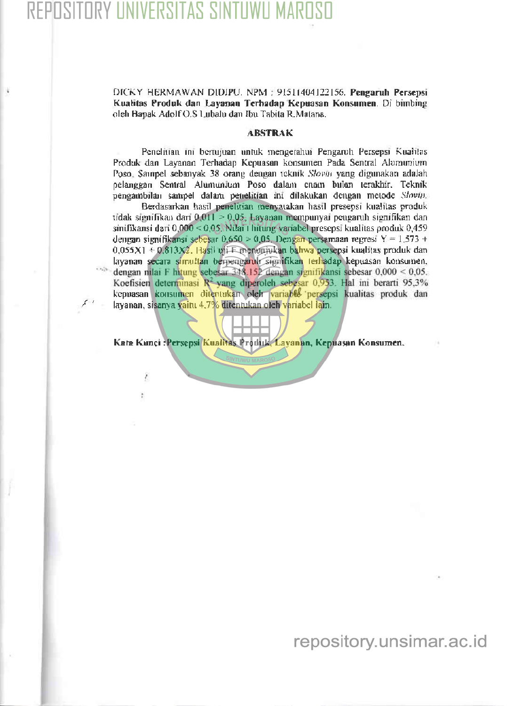Ÿ,

ä

DICKY HERMAWAN DIDIPU. NPM : 91511404122156. Pengaruh Persepsi Kualitas Produk dan Layanan Terhadap Kepuasan Konsumen. Di bimbing oleh Bapak Adolf O.S Lubalu dan Ibu Tabita R.Matana.

## **ABSTRAK**

Penelitian ini bertujuan untuk mengerahui Pengaruh Persepsi Kualitas Produk dan Layanan Terhadap Kepuasan konsumen Pada Sentral Alumunium Poso, Sampel sebanyak 38 orang dengan teknik Slovin yang digunakan adalah pelanggan Sentral Alumunium Poso dalam enam bulan terakhir. Teknik pengambilan sampel dalam penelitian ini dilakukan dengan metode Slovin. Berdasarkan hasil penelitian menyatakan hasil presepsi kualitas produk tidak signifikan dari 0,011 > 0,05, Layanan mempunyai pengaruh signifikan dan sinifikansi dari 0,000 < 0,05. Nilai 1 hitung variabel presepsi kualitas produk 0,459 dengan signifikansi sebesar 0,650 > 0,05. Dengan persamaan regresi  $Y = 1.573 +$ 

0,055X1 + 0,813X2. Hasil uji Emenunjukan bahwa persepsi kualitas produk dan layanan secara simultan berpengaruh signifikan terhadap kepuasan konsumen, dengan nilai F hitung sebesar 348.152 dengan signifikansi sebesar 0,000 < 0,05. Koefisien determinasi  $R^2$  yang diperoleh sebesar 0,953. Hal ini berarti 95,3% kepuasan konsumen ditentukan oleh variable persepsi kualitas produk dan layanan, sisanya yaitu 4,7% ditentukan oleh variabel lain.

Kata Kunci : Persepsi Kualitas Produk, Layanan, Kepuasan Konsumen.

## repository.unsimar.ac.id